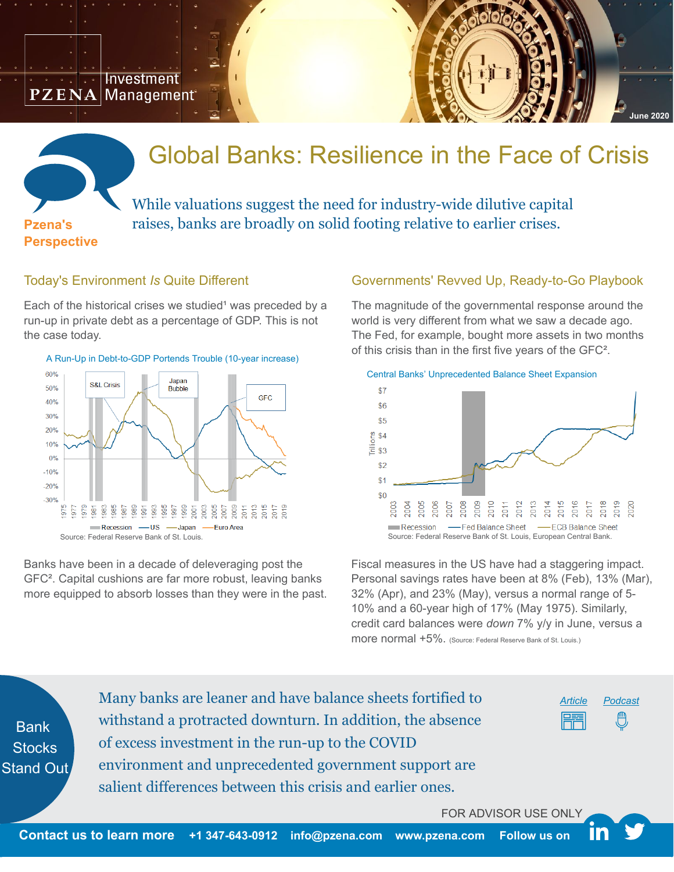**Investment**  $\mathbf{P}\mathbf{Z}\,\mathbf{E}\,\mathbf{N}\mathbf{A}$  | Management $\,$ 



# Global Banks: Resilience in the Face of Crisis

**Pzena's Perspective** 

## While valuations suggest the need for industry-wide dilutive capital raises, banks are broadly on solid footing relative to earlier crises.

#### Today's Environment *Is* Quite Different

Each of the historical crises we studied<sup>1</sup> was preceded by a run-up in private debt as a percentage of GDP. This is not the case today.





Banks have been in a decade of deleveraging post the GFC². Capital cushions are far more robust, leaving banks more equipped to absorb losses than they were in the past.

#### Governments' Revved Up, Ready-to-Go Playbook

The magnitude of the governmental response around the world is very different from what we saw a decade ago. The Fed, for example, bought more assets in two months of this crisis than in the first five years of the GFC².



Fiscal measures in the US have had a staggering impact. Personal savings rates have been at 8% (Feb), 13% (Mar), 32% (Apr), and 23% (May), versus a normal range of 5- 10% and a 60-year high of 17% (May 1975). Similarly, credit card balances were *down* 7% y/y in June, versus a more normal +5%. (Source: Federal Reserve Bank of St. Louis.)

**Bank Stocks** Stand Out Many banks are leaner and have balance sheets fortified to withstand a protracted downturn. In addition, the absence of excess investment in the run-up to the COVID environment and unprecedented government support are salient differences between this crisis and earlier ones.

*[Article](https://www.pzena.com/global-banks-resilience-in-the-face-of-crisis/) [Podcast](https://www.pzena.com/global-banks-resilience-in-the-face-of-crisis-podcast/)*

FOR ADVISOR USE ONLY